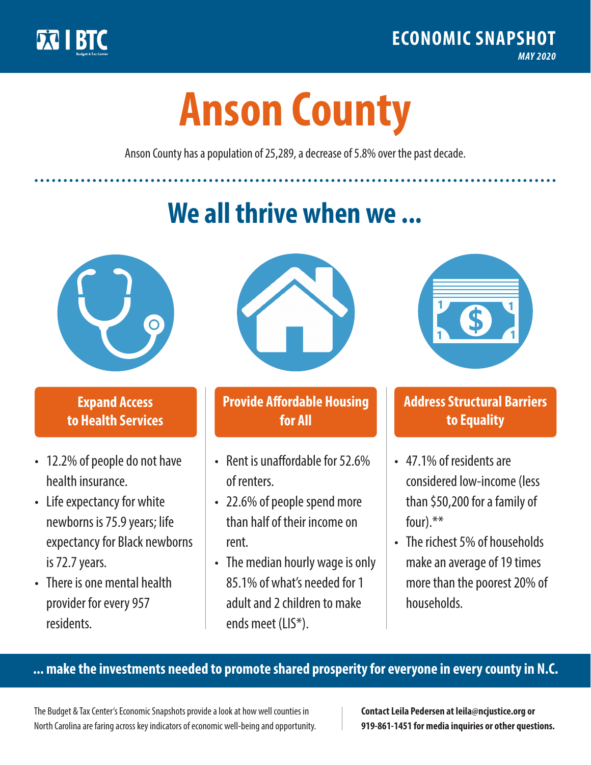

**1**

# **Anson County**

Anson County has a population of 25,289, a decrease of 5.8% over the past decade.

# **We all thrive when we ...**



**\$ <sup>1</sup>**

**\$ <sup>1</sup>**

## **Expand Access to Health Services**

- 12.2% of people do not have health insurance.
- Life expectancy for white newborns is 75.9 years; life expectancy for Black newborns is 72.7 years.
- There is one mental health provider for every 957 residents.



## **Provide Affordable Housing for All**

- Rent is unaffordable for 52.6% of renters.
- 22.6% of people spend more than half of their income on rent.
- The median hourly wage is only 85.1% of what's needed for 1 adult and 2 children to make ends meet (LIS\*).



## **Address Structural Barriers to Equality**

- 47.1% of residents are considered low-income (less than \$50,200 for a family of four).\*\*
- The richest 5% of households make an average of 19 times more than the poorest 20% of households.

#### **... make the investments needed to promote shared prosperity for everyone in every county in N.C.**

The Budget & Tax Center's Economic Snapshots provide a look at how well counties in North Carolina are faring across key indicators of economic well-being and opportunity.